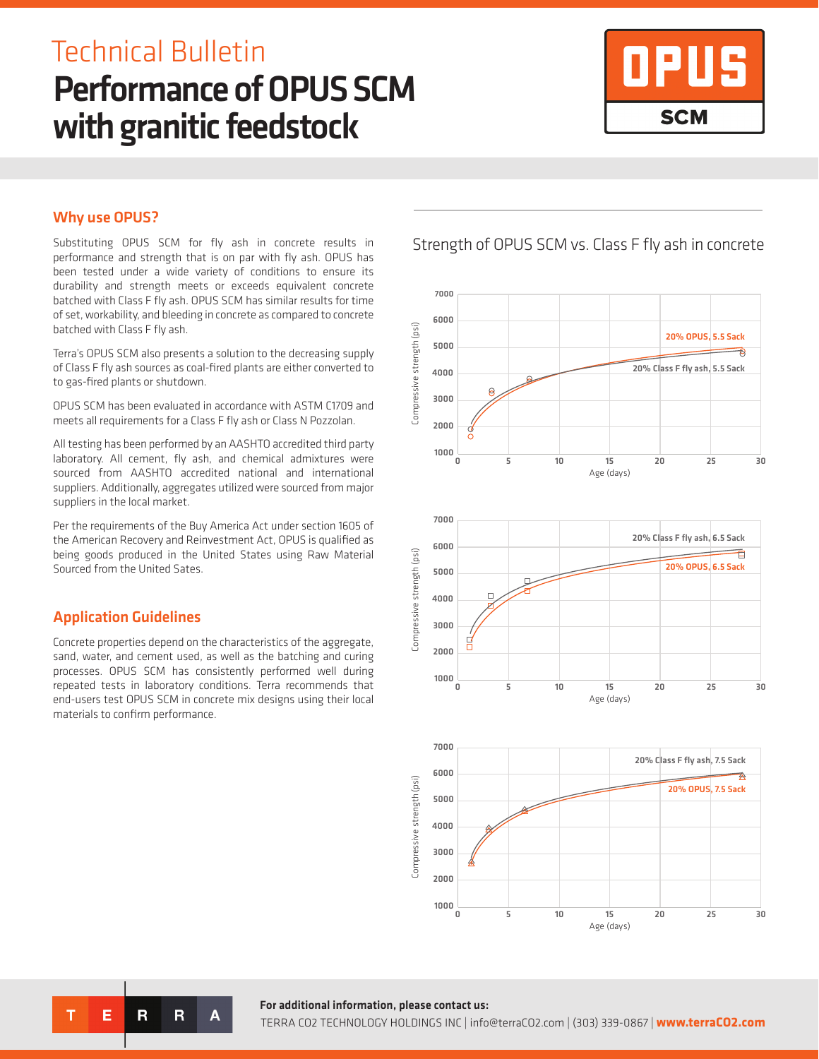# Performance of OPUS SCM with granitic feedstock Technical Bulletin



### Why use OPUS?

Substituting OPUS SCM for fly ash in concrete results in performance and strength that is on par with fly ash. OPUS has been tested under a wide variety of conditions to ensure its durability and strength meets or exceeds equivalent concrete batched with Class F fly ash. OPUS SCM has similar results for time of set, workability, and bleeding in concrete as compared to concrete batched with Class F fly ash.

Terra's OPUS SCM also presents a solution to the decreasing supply of Class F fly ash sources as coal-fired plants are either converted to to gas-fired plants or shutdown.

OPUS SCM has been evaluated in accordance with ASTM C1709 and meets all requirements for a Class F fly ash or Class N Pozzolan.

All testing has been performed by an AASHTO accredited third party laboratory. All cement, fly ash, and chemical admixtures were sourced from AASHTO accredited national and international suppliers. Additionally, aggregates utilized were sourced from major suppliers in the local market.

Per the requirements of the Buy America Act under section 1605 of the American Recovery and Reinvestment Act, OPUS is qualified as being goods produced in the United States using Raw Material Sourced from the United Sates.

## Application Guidelines

т

Е

 $\overline{\mathbf{R}}$ 

 $\overline{\mathsf{R}}$ 

Δ

Concrete properties depend on the characteristics of the aggregate, sand, water, and cement used, as well as the batching and curing processes. OPUS SCM has consistently performed well during repeated tests in laboratory conditions. Terra recommends that end-users test OPUS SCM in concrete mix designs using their local materials to confirm performance.

Strength of OPUS SCM vs. Class F fly ash in concrete



### For additional information, please contact us:

TERRA CO2 TECHNOLOGY HOLDINGS INC | info@terraCO2.com | (303) 339-0867 | **www.terraCO2.com**